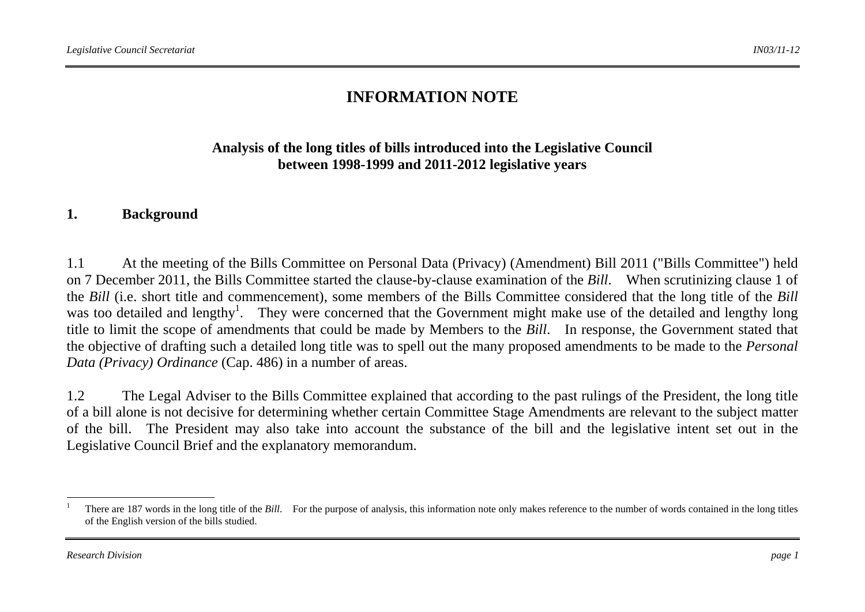# **INFORMATION NOTE**

### **Analysis of the long titles of bills introduced into the Legislative Council between 1998-1999 and 2011-2012 legislative years**

#### **1. Background**

1.1 At the meeting of the Bills Committee on Personal Data (Privacy) (Amendment) Bill 2011 ("Bills Committee") held on 7 December 2011, the Bills Committee started the clause-by-clause examination of the *Bill*. When scrutinizing clause 1 of the *Bill* (i.e. short title and commencement), some members of the Bills Committee considered that the long title of the *Bill* was too detailed and lengthy<sup>1</sup>. They were concerned that the Government might make use of the detailed and lengthy long title to limit the scope of amendments that could be made by Members to the *Bill*. In response, the Government stated that the objective of drafting such a detailed long title was to spell out the many proposed amendments to be made to the *Personal Data (Privacy) Ordinance* (Cap. 486) in a number of areas.

1.2 The Legal Adviser to the Bills Committee explained that according to the past rulings of the President, the long title of a bill alone is not decisive for determining whether certain Committee Stage Amendments are relevant to the subject matter of the bill. The President may also take into account the substance of the bill and the legislative intent set out in the Legislative Council Brief and the explanatory memorandum.

<sup>1</sup>There are 187 words in the long title of the *Bill*. For the purpose of analysis, this information note only makes reference to the number of words contained in the long titles of the English version of the bills studied.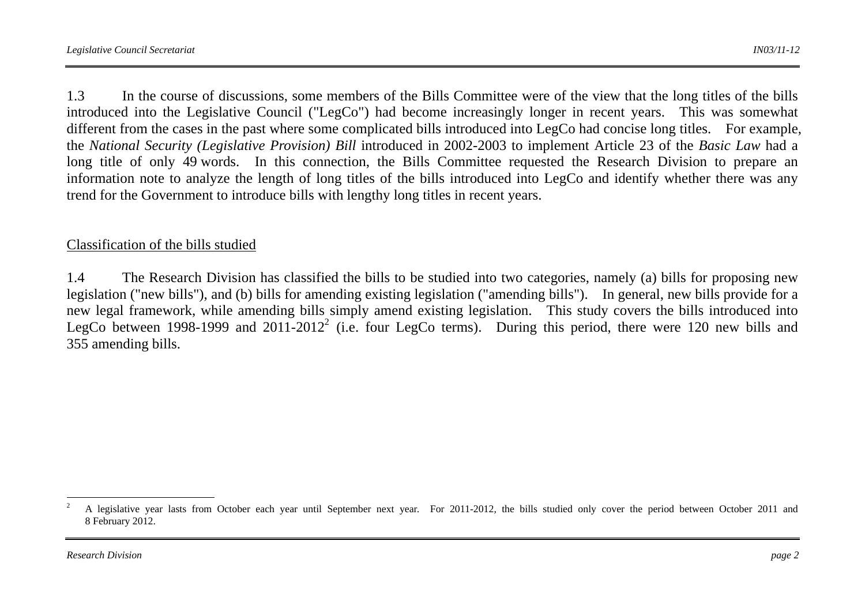1.3 In the course of discussions, some members of the Bills Committee were of the view that the long titles of the bills introduced into the Legislative Council ("LegCo") had become increasingly longer in recent years. This was somewhat different from the cases in the past where some complicated bills introduced into LegCo had concise long titles. For example, the *National Security (Legislative Provision) Bill* introduced in 2002-2003 to implement Article 23 of the *Basic Law* had a long title of only 49 words. In this connection, the Bills Committee requested the Research Division to prepare an information note to analyze the length of long titles of the bills introduced into LegCo and identify whether there was any trend for the Government to introduce bills with lengthy long titles in recent years.

### Classification of the bills studied

1.4 The Research Division has classified the bills to be studied into two categories, namely (a) bills for proposing new legislation ("new bills"), and (b) bills for amending existing legislation ("amending bills"). In general, new bills provide for a new legal framework, while amending bills simply amend existing legislation. This study covers the bills introduced into LegCo between 1998-1999 and 2011-2012<sup>2</sup> (i.e. four LegCo terms). During this period, there were 120 new bills and 355 amending bills.

 $\mathfrak{p}$  A legislative year lasts from October each year until September next year. For 2011-2012, the bills studied only cover the period between October 2011 and 8 February 2012.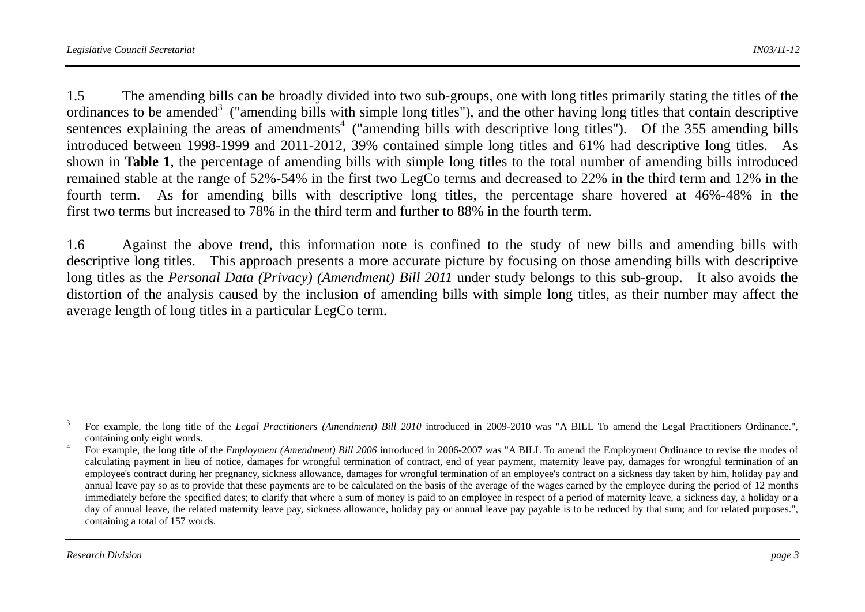1.5 The amending bills can be broadly divided into two sub-groups, one with long titles primarily stating the titles of the ordinances to be amended<sup>3</sup> ("amending bills with simple long titles"), and the other having long titles that contain descriptive sentences explaining the areas of amendments<sup>4</sup> ("amending bills with descriptive long titles"). Of the 355 amending bills introduced between 1998-1999 and 2011-2012, 39% contained simple long titles and 61% had descriptive long titles. As shown in **Table 1**, the percentage of amending bills with simple long titles to the total number of amending bills introduced remained stable at the range of 52%-54% in the first two LegCo terms and decreased to 22% in the third term and 12% in the fourth term. As for amending bills with descriptive long titles, the percentage share hovered at 46%-48% in the first two terms but increased to 78% in the third term and further to 88% in the fourth term.

1.6 Against the above trend, this information note is confined to the study of new bills and amending bills with descriptive long titles. This approach presents a more accurate picture by focusing on those amending bills with descriptive long titles as the *Personal Data (Privacy) (Amendment) Bill 2011* under study belongs to this sub-group. It also avoids the distortion of the analysis caused by the inclusion of amending bills with simple long titles, as their number may affect the average length of long titles in a particular LegCo term.

<sup>&</sup>lt;sup>3</sup> For example, the long title of the *Legal Practitioners (Amendment) Bill 2010* introduced in 2009-2010 was "A BILL To amend the Legal Practitioners Ordinance.", containing only eight words.

<sup>4</sup> For example, the long title of the *Employment (Amendment) Bill 2006* introduced in 2006-2007 was "A BILL To amend the Employment Ordinance to revise the modes of calculating payment in lieu of notice, damages for wrongful termination of contract, end of year payment, maternity leave pay, damages for wrongful termination of an employee's contract during her pregnancy, sickness allowance, damages for wrongful termination of an employee's contract on a sickness day taken by him, holiday pay and annual leave pay so as to provide that these payments are to be calculated on the basis of the average of the wages earned by the employee during the period of 12 months immediately before the specified dates; to clarify that where a sum of money is paid to an employee in respect of a period of maternity leave, a sickness day, a holiday or a day of annual leave, the related maternity leave pay, sickness allowance, holiday pay or annual leave pay payable is to be reduced by that sum; and for related purposes.", containing a total of 157 words.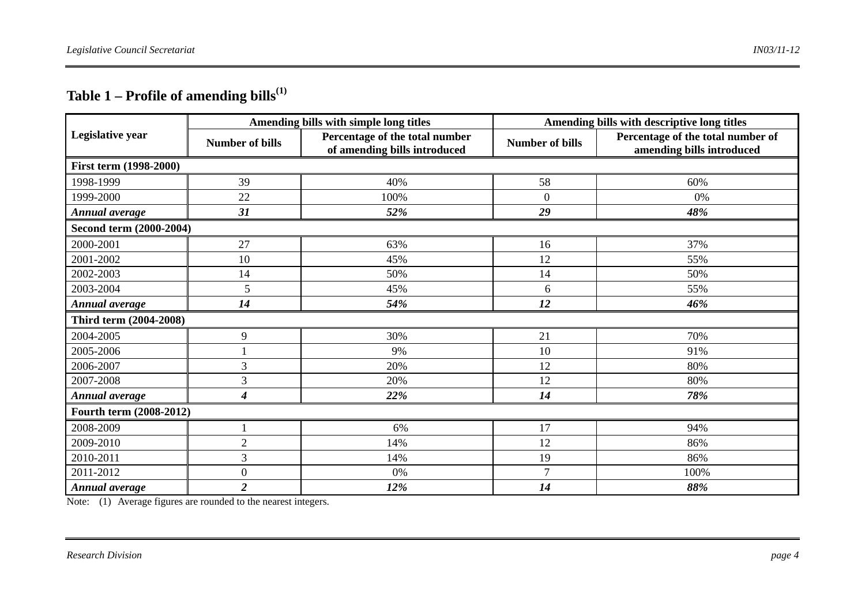# **Table 1 – Profile of amending bills(1)**

|                         |                        | Amending bills with simple long titles                         | Amending bills with descriptive long titles |                                                                |  |  |  |  |
|-------------------------|------------------------|----------------------------------------------------------------|---------------------------------------------|----------------------------------------------------------------|--|--|--|--|
| Legislative year        | <b>Number of bills</b> | Percentage of the total number<br>of amending bills introduced | <b>Number of bills</b>                      | Percentage of the total number of<br>amending bills introduced |  |  |  |  |
| First term (1998-2000)  |                        |                                                                |                                             |                                                                |  |  |  |  |
| 1998-1999               | 39                     | 40%                                                            | 58                                          | 60%                                                            |  |  |  |  |
| 1999-2000               | 22                     | 100%                                                           | $\mathbf{0}$                                | 0%                                                             |  |  |  |  |
| <b>Annual average</b>   | 31                     | 52%                                                            | 29                                          | 48%                                                            |  |  |  |  |
| Second term (2000-2004) |                        |                                                                |                                             |                                                                |  |  |  |  |
| 2000-2001               | 27                     | 63%                                                            | 16                                          | 37%                                                            |  |  |  |  |
| 2001-2002               | 10                     | 45%                                                            | 12                                          | 55%                                                            |  |  |  |  |
| 2002-2003               | 14                     | 50%                                                            | 14                                          | 50%                                                            |  |  |  |  |
| 2003-2004               | 5                      | 45%                                                            | 6                                           | 55%                                                            |  |  |  |  |
| <b>Annual average</b>   | 14                     | 54%                                                            | 12                                          | 46%                                                            |  |  |  |  |
| Third term (2004-2008)  |                        |                                                                |                                             |                                                                |  |  |  |  |
| 2004-2005               | 9                      | 30%                                                            | 21                                          | 70%                                                            |  |  |  |  |
| 2005-2006               |                        | 9%                                                             | 10                                          | 91%                                                            |  |  |  |  |
| 2006-2007               | 3                      | 20%                                                            | 12                                          | 80%                                                            |  |  |  |  |
| 2007-2008               | 3                      | 20%                                                            | 12                                          | 80%                                                            |  |  |  |  |
| <b>Annual average</b>   | $\boldsymbol{4}$       | 22%                                                            | 14                                          | 78%                                                            |  |  |  |  |
| Fourth term (2008-2012) |                        |                                                                |                                             |                                                                |  |  |  |  |
| 2008-2009               |                        | 6%                                                             | 17                                          | 94%                                                            |  |  |  |  |
| 2009-2010               | $\mathfrak{2}$         | 14%                                                            | 12                                          | 86%                                                            |  |  |  |  |
| 2010-2011               | 3                      | 14%                                                            | 19                                          | 86%                                                            |  |  |  |  |
| 2011-2012               | $\boldsymbol{0}$       | 0%                                                             | $\overline{7}$                              | 100%                                                           |  |  |  |  |
| Annual average          | $\overline{2}$         | 12%                                                            | 14                                          | 88%                                                            |  |  |  |  |

Note: (1) Average figures are rounded to the nearest integers.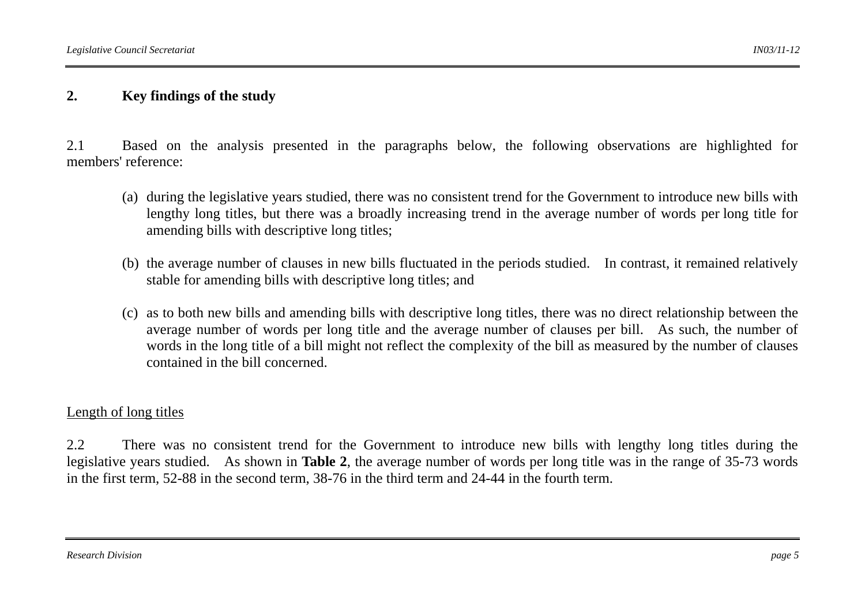### **2. Key findings of the study**

2.1 Based on the analysis presented in the paragraphs below, the following observations are highlighted for members' reference:

- (a) during the legislative years studied, there was no consistent trend for the Government to introduce new bills with lengthy long titles, but there was a broadly increasing trend in the average number of words per long title for amending bills with descriptive long titles;
- (b) the average number of clauses in new bills fluctuated in the periods studied. In contrast, it remained relatively stable for amending bills with descriptive long titles; and
- (c) as to both new bills and amending bills with descriptive long titles, there was no direct relationship between the average number of words per long title and the average number of clauses per bill. As such, the number of words in the long title of a bill might not reflect the complexity of the bill as measured by the number of clauses contained in the bill concerned.

#### Length of long titles

2.2 There was no consistent trend for the Government to introduce new bills with lengthy long titles during the legislative years studied. As shown in **Table 2**, the average number of words per long title was in the range of 35-73 words in the first term, 52-88 in the second term, 38-76 in the third term and 24-44 in the fourth term.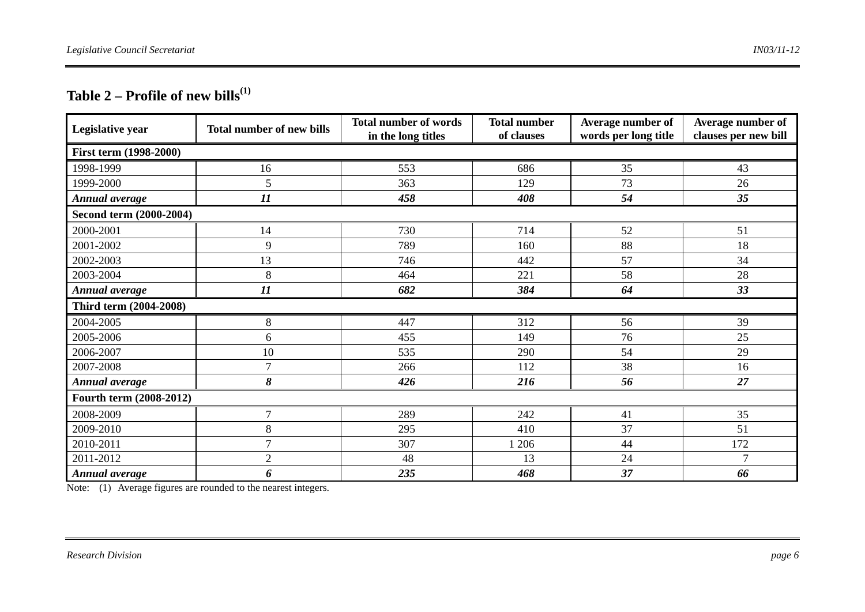# **Table 2 – Profile of new bills(1)**

| Legislative year              | <b>Total number of new bills</b> | <b>Total number of words</b><br>in the long titles | <b>Total number</b><br>of clauses | Average number of<br>words per long title | Average number of<br>clauses per new bill |  |  |  |
|-------------------------------|----------------------------------|----------------------------------------------------|-----------------------------------|-------------------------------------------|-------------------------------------------|--|--|--|
| <b>First term (1998-2000)</b> |                                  |                                                    |                                   |                                           |                                           |  |  |  |
| 1998-1999                     | 16                               | 553                                                | 686                               | 35                                        | 43                                        |  |  |  |
| 1999-2000                     | 5                                | 363                                                | 129                               | 73                                        | 26                                        |  |  |  |
| <b>Annual average</b>         | $\boldsymbol{\mathit{11}}$       | 458                                                | 408                               | 54                                        | 35                                        |  |  |  |
| Second term (2000-2004)       |                                  |                                                    |                                   |                                           |                                           |  |  |  |
| 2000-2001                     | 14                               | 730                                                | 714                               | 52                                        | 51                                        |  |  |  |
| 2001-2002                     | 9                                | 789                                                | 160                               | 88                                        | 18                                        |  |  |  |
| 2002-2003                     | 13                               | 746                                                | 442                               | 57                                        | 34                                        |  |  |  |
| 2003-2004                     | 8                                | 464                                                | 221                               | 58                                        | 28                                        |  |  |  |
| Annual average                | $\boldsymbol{\mathit{11}}$       | 682                                                | 384                               | 64                                        | 33                                        |  |  |  |
| Third term (2004-2008)        |                                  |                                                    |                                   |                                           |                                           |  |  |  |
| 2004-2005                     | 8                                | 447                                                | 312                               | 56                                        | 39                                        |  |  |  |
| 2005-2006                     | 6                                | 455                                                | 149                               | 76                                        | 25                                        |  |  |  |
| 2006-2007                     | 10                               | 535                                                | 290                               | 54                                        | 29                                        |  |  |  |
| 2007-2008                     | $\overline{7}$                   | 266                                                | 112                               | 38                                        | 16                                        |  |  |  |
| Annual average                | 8                                | 426                                                | 216                               | 56                                        | 27                                        |  |  |  |
| Fourth term (2008-2012)       |                                  |                                                    |                                   |                                           |                                           |  |  |  |
| 2008-2009                     | $\overline{7}$                   | 289                                                | 242                               | 41                                        | 35                                        |  |  |  |
| 2009-2010                     | 8                                | 295                                                | 410                               | 37                                        | 51                                        |  |  |  |
| 2010-2011                     | $\tau$                           | 307                                                | 1 206                             | 44                                        | 172                                       |  |  |  |
| 2011-2012                     | $\mathfrak{2}$                   | 48                                                 | 13                                | 24                                        | $\tau$                                    |  |  |  |
| Annual average                | 6                                | 235                                                | 468                               | 37                                        | 66                                        |  |  |  |

Note: (1) Average figures are rounded to the nearest integers.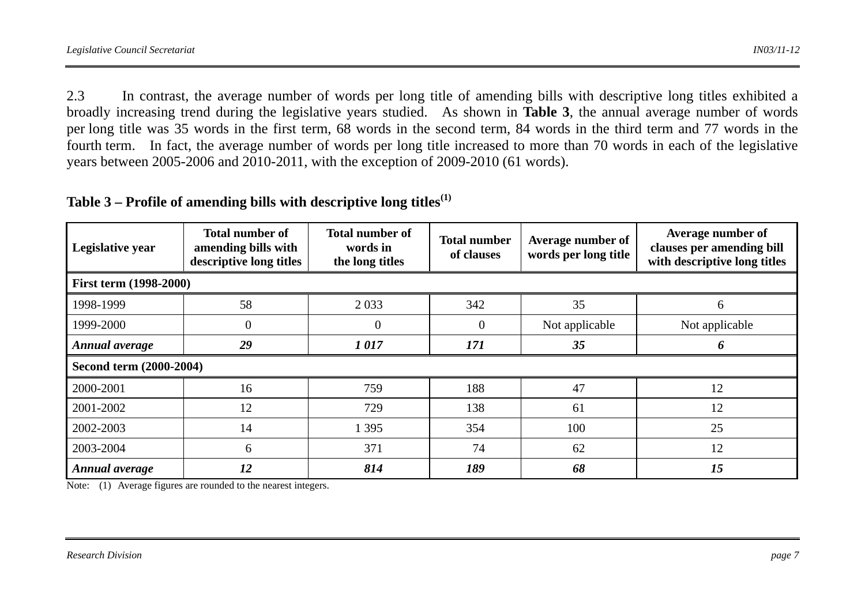2.3 In contrast, the average number of words per long title of amending bills with descriptive long titles exhibited a broadly increasing trend during the legislative years studied. As shown in **Table 3**, the annual average number of words per long title was 35 words in the first term, 68 words in the second term, 84 words in the third term and 77 words in the fourth term. In fact, the average number of words per long title increased to more than 70 words in each of the legislative years between 2005-2006 and 2010-2011, with the exception of 2009-2010 (61 words).

| Legislative year       | <b>Total number of</b><br>amending bills with<br>descriptive long titles | <b>Total number of</b><br>words in<br>the long titles | <b>Total number</b><br>of clauses | Average number of<br>words per long title | Average number of<br>clauses per amending bill<br>with descriptive long titles |  |
|------------------------|--------------------------------------------------------------------------|-------------------------------------------------------|-----------------------------------|-------------------------------------------|--------------------------------------------------------------------------------|--|
| First term (1998-2000) |                                                                          |                                                       |                                   |                                           |                                                                                |  |
| 1998-1999              | 58                                                                       | 2 0 3 3                                               | 342                               | 35                                        | <sub>0</sub>                                                                   |  |
| 1999-2000              | $\theta$                                                                 | $\boldsymbol{0}$                                      | $\overline{0}$                    | Not applicable                            | Not applicable                                                                 |  |
| Annual average         | 29                                                                       | 1017                                                  | 171                               | 35                                        | n                                                                              |  |
|                        | Second term (2000-2004)                                                  |                                                       |                                   |                                           |                                                                                |  |
| 2000-2001              | 16                                                                       | 759                                                   | 188                               | 47                                        | 12                                                                             |  |
| 2001-2002              | 12                                                                       | 729                                                   | 138                               | 61                                        | 12                                                                             |  |
| 2002-2003              | 14                                                                       | 1 3 9 5                                               | 354                               | 100                                       | 25                                                                             |  |
| 2003-2004              | 6                                                                        | 371                                                   | 74                                | 62                                        | 12                                                                             |  |
| Annual average         | 12                                                                       | 814                                                   | 189                               | 68                                        | 15                                                                             |  |

| Table 3 – Profile of amending bills with descriptive long titles $^{\rm (1)}$ |  |  |  |  |
|-------------------------------------------------------------------------------|--|--|--|--|
|-------------------------------------------------------------------------------|--|--|--|--|

Note: (1) Average figures are rounded to the nearest integers.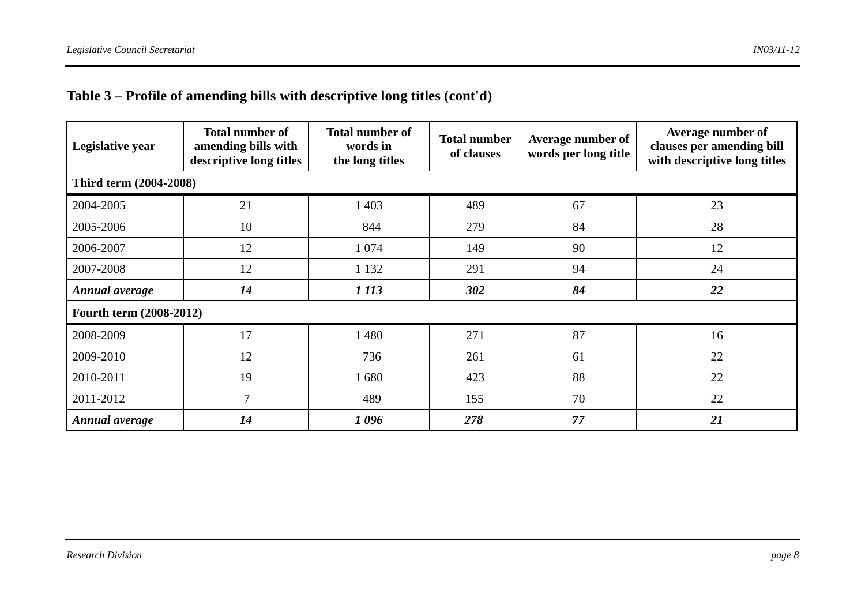# **Table 3 – Profile of amending bills with descriptive long titles (cont'd)**

| Legislative year        | <b>Total number of</b><br>amending bills with<br>descriptive long titles | <b>Total number of</b><br>words in<br>the long titles | <b>Total number</b><br>of clauses | Average number of<br>words per long title | Average number of<br>clauses per amending bill<br>with descriptive long titles |  |  |
|-------------------------|--------------------------------------------------------------------------|-------------------------------------------------------|-----------------------------------|-------------------------------------------|--------------------------------------------------------------------------------|--|--|
|                         | Third term (2004-2008)                                                   |                                                       |                                   |                                           |                                                                                |  |  |
| 2004-2005               | 21                                                                       | 1 403                                                 | 489                               | 67                                        | 23                                                                             |  |  |
| 2005-2006               | 10                                                                       | 844                                                   | 279                               | 84                                        | 28                                                                             |  |  |
| 2006-2007               | 12                                                                       | 1 0 7 4                                               | 149                               | 90                                        | 12                                                                             |  |  |
| 2007-2008               | 12                                                                       | 1 1 3 2                                               | 291                               | 94                                        | 24                                                                             |  |  |
| Annual average          | 14                                                                       | 1 113                                                 | 302                               | 84                                        | 22                                                                             |  |  |
| Fourth term (2008-2012) |                                                                          |                                                       |                                   |                                           |                                                                                |  |  |
| 2008-2009               | 17                                                                       | 1 4 8 0                                               | 271                               | 87                                        | 16                                                                             |  |  |
| 2009-2010               | 12                                                                       | 736                                                   | 261                               | 61                                        | 22                                                                             |  |  |
| 2010-2011               | 19                                                                       | 1680                                                  | 423                               | 88                                        | 22                                                                             |  |  |
| 2011-2012               | $\overline{7}$                                                           | 489                                                   | 155                               | 70                                        | 22                                                                             |  |  |
| Annual average          | 14                                                                       | 1096                                                  | 278                               | 77                                        | 21                                                                             |  |  |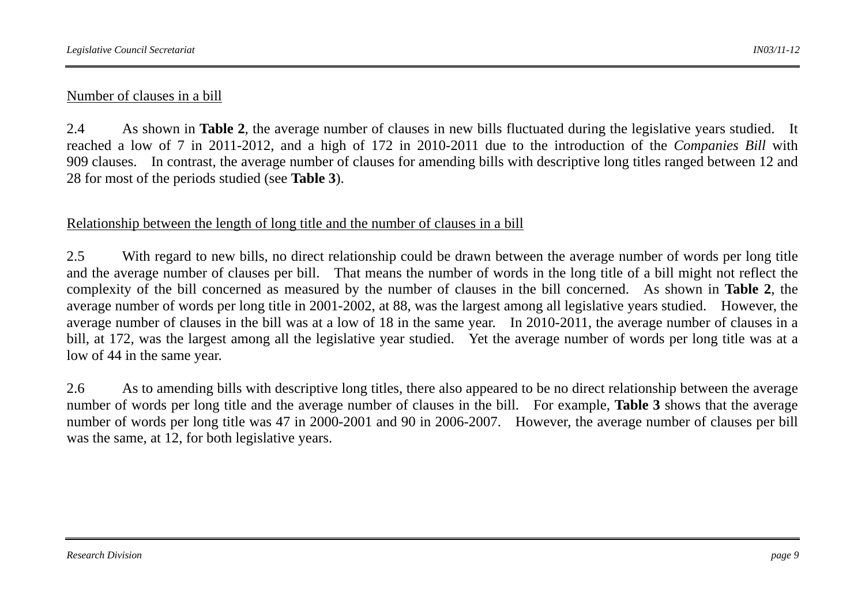### Number of clauses in a bill

2.4 As shown in **Table 2**, the average number of clauses in new bills fluctuated during the legislative years studied. It reached a low of 7 in 2011-2012, and a high of 172 in 2010-2011 due to the introduction of the *Companies Bill* with 909 clauses. In contrast, the average number of clauses for amending bills with descriptive long titles ranged between 12 and 28 for most of the periods studied (see **Table 3**).

#### Relationship between the length of long title and the number of clauses in a bill

2.5 With regard to new bills, no direct relationship could be drawn between the average number of words per long title and the average number of clauses per bill. That means the number of words in the long title of a bill might not reflect the complexity of the bill concerned as measured by the number of clauses in the bill concerned. As shown in **Table 2**, the average number of words per long title in 2001-2002, at 88, was the largest among all legislative years studied. However, the average number of clauses in the bill was at a low of 18 in the same year. In 2010-2011, the average number of clauses in a bill, at 172, was the largest among all the legislative year studied. Yet the average number of words per long title was at a low of 44 in the same year.

2.6 As to amending bills with descriptive long titles, there also appeared to be no direct relationship between the average number of words per long title and the average number of clauses in the bill. For example, **Table 3** shows that the average number of words per long title was 47 in 2000-2001 and 90 in 2006-2007. However, the average number of clauses per bill was the same, at 12, for both legislative years.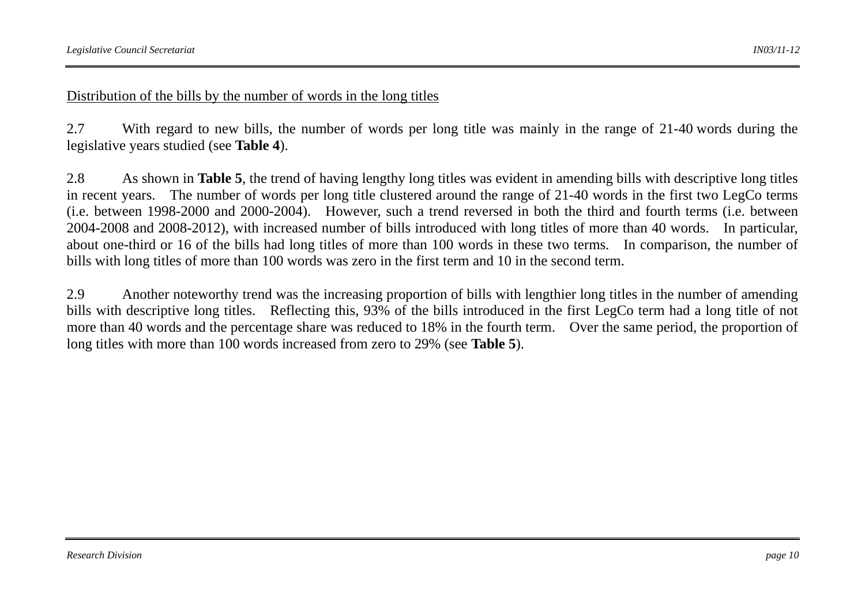#### Distribution of the bills by the number of words in the long titles

2.7 With regard to new bills, the number of words per long title was mainly in the range of 21-40 words during the legislative years studied (see **Table 4**).

2.8 As shown in **Table 5**, the trend of having lengthy long titles was evident in amending bills with descriptive long titles in recent years. The number of words per long title clustered around the range of 21-40 words in the first two LegCo terms (i.e. between 1998-2000 and 2000-2004). However, such a trend reversed in both the third and fourth terms (i.e. between 2004-2008 and 2008-2012), with increased number of bills introduced with long titles of more than 40 words. In particular, about one-third or 16 of the bills had long titles of more than 100 words in these two terms. In comparison, the number of bills with long titles of more than 100 words was zero in the first term and 10 in the second term.

2.9 Another noteworthy trend was the increasing proportion of bills with lengthier long titles in the number of amending bills with descriptive long titles. Reflecting this, 93% of the bills introduced in the first LegCo term had a long title of not more than 40 words and the percentage share was reduced to 18% in the fourth term. Over the same period, the proportion of long titles with more than 100 words increased from zero to 29% (see **Table 5**).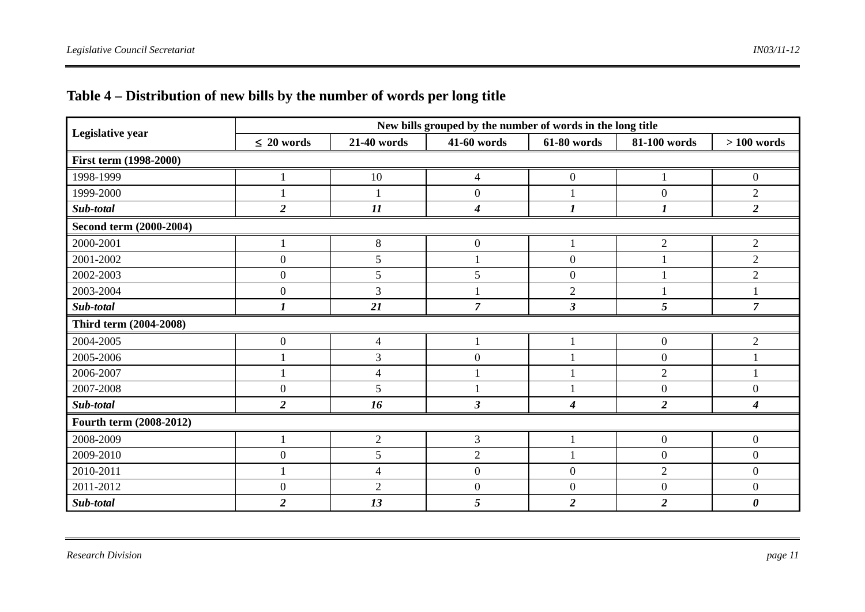|                         |                  |                | New bills grouped by the number of words in the long title |                  |                  |                       |
|-------------------------|------------------|----------------|------------------------------------------------------------|------------------|------------------|-----------------------|
| Legislative year        | $\leq 20$ words  | 21-40 words    | <b>41-60 words</b>                                         | 61-80 words      | 81-100 words     | $> 100$ words         |
| First term (1998-2000)  |                  |                |                                                            |                  |                  |                       |
| 1998-1999               |                  | 10             | $\overline{4}$                                             | $\boldsymbol{0}$ |                  | $\boldsymbol{0}$      |
| 1999-2000               |                  |                | $\boldsymbol{0}$                                           |                  | $\overline{0}$   | $\overline{2}$        |
| Sub-total               | $\overline{2}$   | 11             | $\boldsymbol{4}$                                           | $\boldsymbol{l}$ | 1                | $\overline{2}$        |
| Second term (2000-2004) |                  |                |                                                            |                  |                  |                       |
| 2000-2001               |                  | 8              | $\boldsymbol{0}$                                           |                  | $\overline{2}$   | $\overline{c}$        |
| 2001-2002               | $\boldsymbol{0}$ | 5              |                                                            | $\boldsymbol{0}$ |                  | $\overline{2}$        |
| 2002-2003               | $\overline{0}$   | 5              | 5                                                          | $\boldsymbol{0}$ |                  | $\overline{2}$        |
| 2003-2004               | $\boldsymbol{0}$ | 3              |                                                            | $\overline{2}$   |                  |                       |
| Sub-total               |                  | 21             | 7                                                          | 3                | 5                | 7                     |
| Third term (2004-2008)  |                  |                |                                                            |                  |                  |                       |
| 2004-2005               | $\boldsymbol{0}$ | 4              |                                                            |                  | $\overline{0}$   | $\overline{2}$        |
| 2005-2006               |                  | 3              | $\boldsymbol{0}$                                           |                  | $\overline{0}$   |                       |
| 2006-2007               |                  | $\overline{4}$ |                                                            |                  | $\overline{2}$   |                       |
| 2007-2008               | $\boldsymbol{0}$ | 5              |                                                            |                  | $\overline{0}$   | $\boldsymbol{0}$      |
| Sub-total               | $\overline{2}$   | 16             | $\mathfrak{z}$                                             | $\boldsymbol{4}$ | $\overline{2}$   | 4                     |
| Fourth term (2008-2012) |                  |                |                                                            |                  |                  |                       |
| 2008-2009               |                  | $\overline{2}$ | $\mathfrak{Z}$                                             |                  | $\boldsymbol{0}$ | $\boldsymbol{0}$      |
| 2009-2010               | $\overline{0}$   | 5              | $\overline{2}$                                             |                  | $\overline{0}$   | $\boldsymbol{0}$      |
| 2010-2011               |                  | $\overline{4}$ | $\boldsymbol{0}$                                           | $\boldsymbol{0}$ | $\overline{2}$   | $\mathbf{0}$          |
| 2011-2012               | $\boldsymbol{0}$ | $\overline{2}$ | $\boldsymbol{0}$                                           | $\boldsymbol{0}$ | $\overline{0}$   | $\boldsymbol{0}$      |
| Sub-total               | $\overline{2}$   | 13             | 5                                                          | $\overline{2}$   | $\overline{2}$   | $\boldsymbol{\theta}$ |

# **Table 4 – Distribution of new bills by the number of words per long title**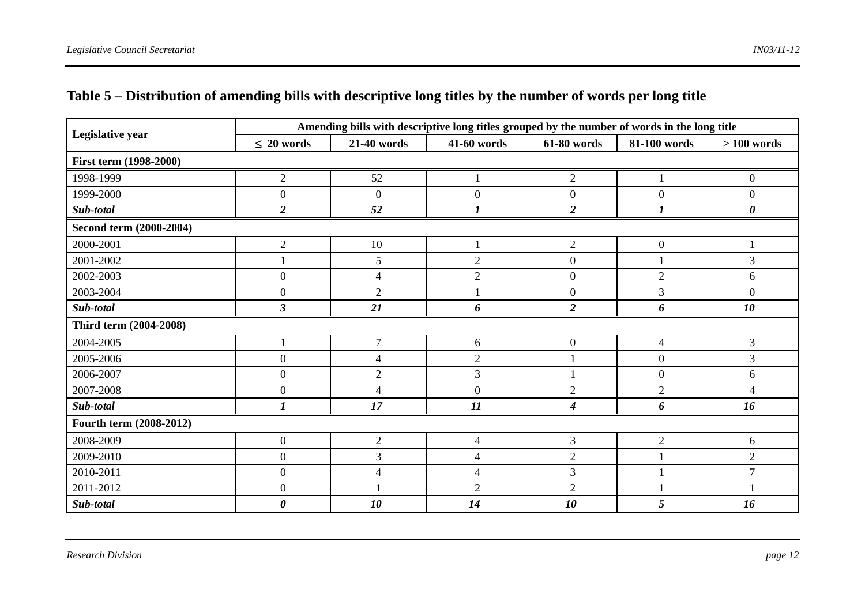| Legislative year              |                         |                          | Amending bills with descriptive long titles grouped by the number of words in the long title |                  |                  |                  |
|-------------------------------|-------------------------|--------------------------|----------------------------------------------------------------------------------------------|------------------|------------------|------------------|
|                               | $\leq 20$ words         | 21-40 words              | 41-60 words                                                                                  | 61-80 words      | 81-100 words     | $>100$ words     |
| <b>First term (1998-2000)</b> |                         |                          |                                                                                              |                  |                  |                  |
| 1998-1999                     | $\mathbf{2}$            | 52                       |                                                                                              | $\mathbf{2}$     |                  | $\boldsymbol{0}$ |
| 1999-2000                     | $\boldsymbol{0}$        | $\Omega$                 | $\theta$                                                                                     | $\boldsymbol{0}$ | $\Omega$         | $\overline{0}$   |
| Sub-total                     | $\overline{2}$          | 52                       | 1                                                                                            | $\overline{2}$   | 1                | 0                |
| Second term (2000-2004)       |                         |                          |                                                                                              |                  |                  |                  |
| 2000-2001                     | $\mathbf{2}$            | 10                       |                                                                                              | $\mathbf{2}$     | $\boldsymbol{0}$ |                  |
| 2001-2002                     |                         | 5                        | $\overline{2}$                                                                               | $\boldsymbol{0}$ |                  | 3                |
| 2002-2003                     | $\boldsymbol{0}$        | $\overline{4}$           | $\overline{2}$                                                                               | $\boldsymbol{0}$ | $\overline{2}$   | 6                |
| 2003-2004                     | $\boldsymbol{0}$        | $\overline{2}$           |                                                                                              | $\boldsymbol{0}$ | $\overline{3}$   | $\overline{0}$   |
| Sub-total                     | $\overline{\mathbf{3}}$ | 21                       | 6                                                                                            | $\overline{2}$   | 6                | 10               |
| Third term (2004-2008)        |                         |                          |                                                                                              |                  |                  |                  |
| 2004-2005                     |                         | $\overline{7}$           | 6                                                                                            | $\boldsymbol{0}$ | $\overline{4}$   | 3                |
| 2005-2006                     | $\boldsymbol{0}$        | $\overline{\mathcal{A}}$ | $\overline{2}$                                                                               |                  | $\boldsymbol{0}$ | 3                |
| 2006-2007                     | $\boldsymbol{0}$        | $\overline{2}$           | 3                                                                                            |                  | $\overline{0}$   | 6                |
| 2007-2008                     | $\boldsymbol{0}$        | $\overline{4}$           | $\overline{0}$                                                                               | $\overline{2}$   | $\overline{2}$   | $\overline{4}$   |
| Sub-total                     | $\boldsymbol{l}$        | 17                       | $\boldsymbol{\mathit{11}}$                                                                   | 4                | 6                | 16               |
| Fourth term (2008-2012)       |                         |                          |                                                                                              |                  |                  |                  |
| 2008-2009                     | $\boldsymbol{0}$        | $\overline{2}$           | $\overline{\mathcal{A}}$                                                                     | $\mathfrak{Z}$   | $\mathfrak{2}$   | 6                |
| 2009-2010                     | $\boldsymbol{0}$        | 3                        | $\overline{4}$                                                                               | $\overline{2}$   |                  | $\overline{2}$   |
| 2010-2011                     | $\boldsymbol{0}$        | $\overline{4}$           | $\overline{4}$                                                                               | $\overline{3}$   |                  | $\overline{7}$   |
| 2011-2012                     | $\boldsymbol{0}$        |                          | $\overline{2}$                                                                               | $\overline{2}$   |                  |                  |
| Sub-total                     | $\boldsymbol{\theta}$   | 10                       | 14                                                                                           | 10               | 5                | 16               |

# **Table 5 – Distribution of amending bills with descriptive long titles by the number of words per long title**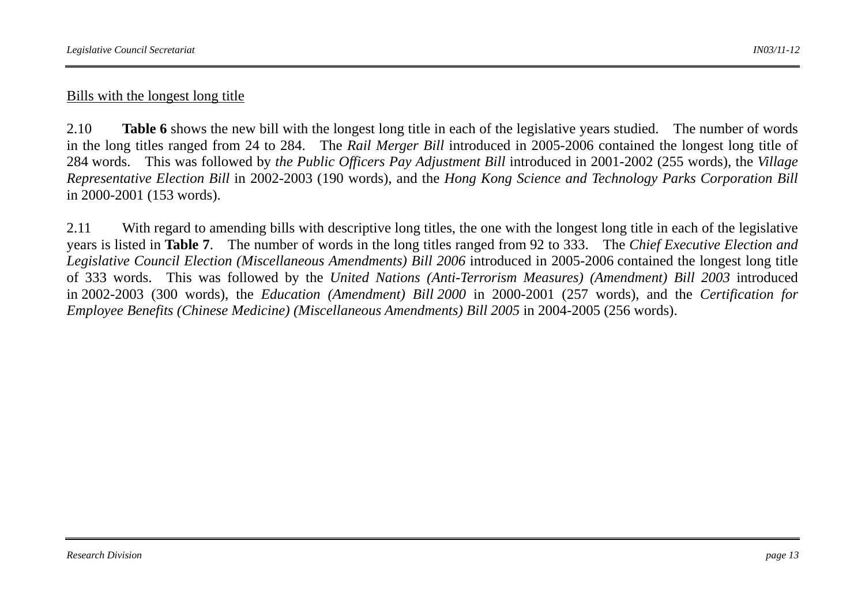### Bills with the longest long title

2.10 **Table 6** shows the new bill with the longest long title in each of the legislative years studied. The number of words in the long titles ranged from 24 to 284. The *Rail Merger Bill* introduced in 2005-2006 contained the longest long title of 284 words. This was followed by *the Public Officers Pay Adjustment Bill* introduced in 2001-2002 (255 words), the *Village Representative Election Bill* in 2002-2003 (190 words), and the *Hong Kong Science and Technology Parks Corporation Bill* in 2000-2001 (153 words).

2.11 With regard to amending bills with descriptive long titles, the one with the longest long title in each of the legislative years is listed in **Table 7**. The number of words in the long titles ranged from 92 to 333. The *Chief Executive Election and Legislative Council Election (Miscellaneous Amendments) Bill 2006* introduced in 2005-2006 contained the longest long title of 333 words. This was followed by the *United Nations (Anti-Terrorism Measures) (Amendment) Bill 2003* introduced in 2002-2003 (300 words), the *Education (Amendment) Bill 2000* in 2000-2001 (257 words), and the *Certification for Employee Benefits (Chinese Medicine) (Miscellaneous Amendments) Bill 2005* in 2004-2005 (256 words).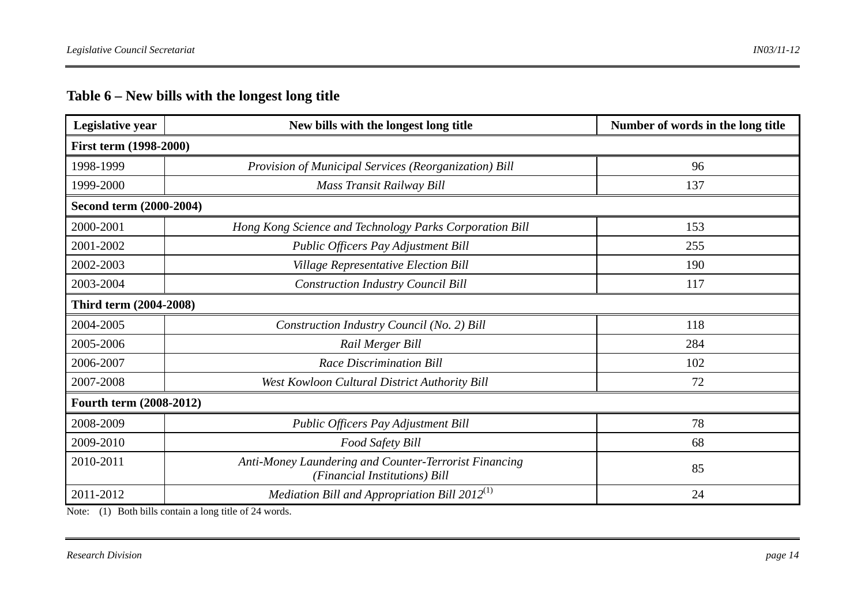# **Table 6 – New bills with the longest long title**

| Legislative year              | New bills with the longest long title                                                  | Number of words in the long title |  |  |  |  |
|-------------------------------|----------------------------------------------------------------------------------------|-----------------------------------|--|--|--|--|
| <b>First term (1998-2000)</b> |                                                                                        |                                   |  |  |  |  |
| 1998-1999                     | Provision of Municipal Services (Reorganization) Bill                                  | 96                                |  |  |  |  |
| 1999-2000                     | Mass Transit Railway Bill                                                              | 137                               |  |  |  |  |
| Second term (2000-2004)       |                                                                                        |                                   |  |  |  |  |
| 2000-2001                     | Hong Kong Science and Technology Parks Corporation Bill                                | 153                               |  |  |  |  |
| 2001-2002                     | Public Officers Pay Adjustment Bill                                                    | 255                               |  |  |  |  |
| 2002-2003                     | Village Representative Election Bill                                                   | 190                               |  |  |  |  |
| 2003-2004                     | <b>Construction Industry Council Bill</b>                                              | 117                               |  |  |  |  |
| Third term (2004-2008)        |                                                                                        |                                   |  |  |  |  |
| 2004-2005                     | Construction Industry Council (No. 2) Bill                                             | 118                               |  |  |  |  |
| 2005-2006                     | Rail Merger Bill                                                                       | 284                               |  |  |  |  |
| 2006-2007                     | <b>Race Discrimination Bill</b>                                                        | 102                               |  |  |  |  |
| 2007-2008                     | West Kowloon Cultural District Authority Bill                                          | 72                                |  |  |  |  |
| Fourth term (2008-2012)       |                                                                                        |                                   |  |  |  |  |
| 2008-2009                     | Public Officers Pay Adjustment Bill                                                    | 78                                |  |  |  |  |
| 2009-2010                     | Food Safety Bill                                                                       | 68                                |  |  |  |  |
| 2010-2011                     | Anti-Money Laundering and Counter-Terrorist Financing<br>(Financial Institutions) Bill | 85                                |  |  |  |  |
| 2011-2012                     | Mediation Bill and Appropriation Bill $2012^{(1)}$                                     | 24                                |  |  |  |  |

Note: (1) Both bills contain a long title of 24 words.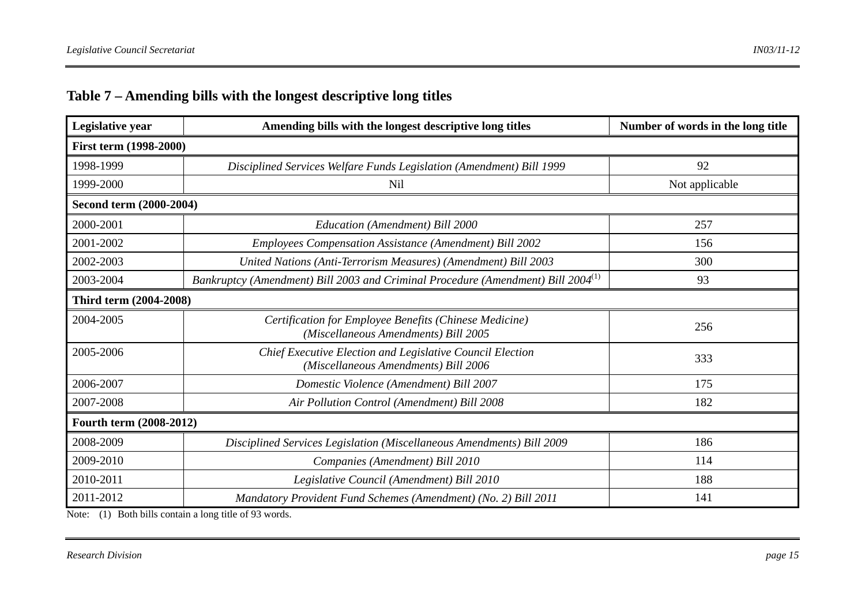# **Table 7 – Amending bills with the longest descriptive long titles**

| Legislative year        | Amending bills with the longest descriptive long titles                                           | Number of words in the long title |  |  |  |  |
|-------------------------|---------------------------------------------------------------------------------------------------|-----------------------------------|--|--|--|--|
| First term (1998-2000)  |                                                                                                   |                                   |  |  |  |  |
| 1998-1999               | Disciplined Services Welfare Funds Legislation (Amendment) Bill 1999                              | 92                                |  |  |  |  |
| 1999-2000               | Nil                                                                                               | Not applicable                    |  |  |  |  |
| Second term (2000-2004) |                                                                                                   |                                   |  |  |  |  |
| 2000-2001               | Education (Amendment) Bill 2000                                                                   | 257                               |  |  |  |  |
| 2001-2002               | <b>Employees Compensation Assistance (Amendment) Bill 2002</b>                                    | 156                               |  |  |  |  |
| 2002-2003               | United Nations (Anti-Terrorism Measures) (Amendment) Bill 2003                                    | 300                               |  |  |  |  |
| 2003-2004               | Bankruptcy (Amendment) Bill 2003 and Criminal Procedure (Amendment) Bill 2004 <sup>(1)</sup>      | 93                                |  |  |  |  |
| Third term (2004-2008)  |                                                                                                   |                                   |  |  |  |  |
| 2004-2005               | Certification for Employee Benefits (Chinese Medicine)<br>(Miscellaneous Amendments) Bill 2005    | 256                               |  |  |  |  |
| 2005-2006               | Chief Executive Election and Legislative Council Election<br>(Miscellaneous Amendments) Bill 2006 | 333                               |  |  |  |  |
| 2006-2007               | Domestic Violence (Amendment) Bill 2007                                                           | 175                               |  |  |  |  |
| 2007-2008               | Air Pollution Control (Amendment) Bill 2008                                                       | 182                               |  |  |  |  |
| Fourth term (2008-2012) |                                                                                                   |                                   |  |  |  |  |
| 2008-2009               | Disciplined Services Legislation (Miscellaneous Amendments) Bill 2009                             | 186                               |  |  |  |  |
| 2009-2010               | Companies (Amendment) Bill 2010                                                                   | 114                               |  |  |  |  |
| 2010-2011               | Legislative Council (Amendment) Bill 2010                                                         | 188                               |  |  |  |  |
| 2011-2012               | Mandatory Provident Fund Schemes (Amendment) (No. 2) Bill 2011                                    | 141                               |  |  |  |  |

Note: (1) Both bills contain a long title of 93 words.